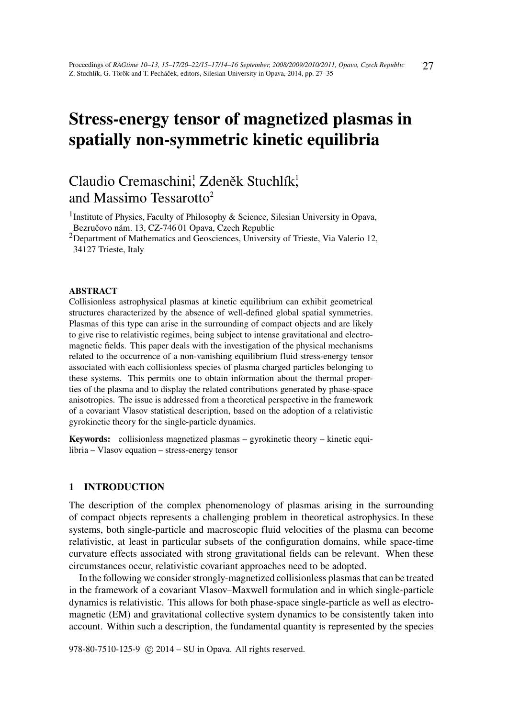# Stress-energy tensor of magnetized plasmas in spatially non-symmetric kinetic equilibria

# Claudio Cremaschini, Zdeněk Stuchlík, and Massimo Tessarotto<sup>2</sup>

<sup>1</sup> Institute of Physics, Faculty of Philosophy & Science, Silesian University in Opava, Bezručovo nám. 13, CZ-746 01 Opava, Czech Republic

<sup>2</sup>Department of Mathematics and Geosciences, University of Trieste, Via Valerio 12, 34127 Trieste, Italy

#### ABSTRACT

Collisionless astrophysical plasmas at kinetic equilibrium can exhibit geometrical structures characterized by the absence of well-defined global spatial symmetries. Plasmas of this type can arise in the surrounding of compact objects and are likely to give rise to relativistic regimes, being subject to intense gravitational and electromagnetic fields. This paper deals with the investigation of the physical mechanisms related to the occurrence of a non-vanishing equilibrium fluid stress-energy tensor associated with each collisionless species of plasma charged particles belonging to these systems. This permits one to obtain information about the thermal properties of the plasma and to display the related contributions generated by phase-space anisotropies. The issue is addressed from a theoretical perspective in the framework of a covariant Vlasov statistical description, based on the adoption of a relativistic gyrokinetic theory for the single-particle dynamics.

Keywords: collisionless magnetized plasmas – gyrokinetic theory – kinetic equilibria – Vlasov equation – stress-energy tensor

# 1 INTRODUCTION

The description of the complex phenomenology of plasmas arising in the surrounding of compact objects represents a challenging problem in theoretical astrophysics. In these systems, both single-particle and macroscopic fluid velocities of the plasma can become relativistic, at least in particular subsets of the configuration domains, while space-time curvature effects associated with strong gravitational fields can be relevant. When these circumstances occur, relativistic covariant approaches need to be adopted.

In the following we consider strongly-magnetized collisionless plasmas that can be treated in the framework of a covariant Vlasov–Maxwell formulation and in which single-particle dynamics is relativistic. This allows for both phase-space single-particle as well as electromagnetic (EM) and gravitational collective system dynamics to be consistently taken into account. Within such a description, the fundamental quantity is represented by the species

978-80-7510-125-9 © 2014 – SU in Opava. All rights reserved.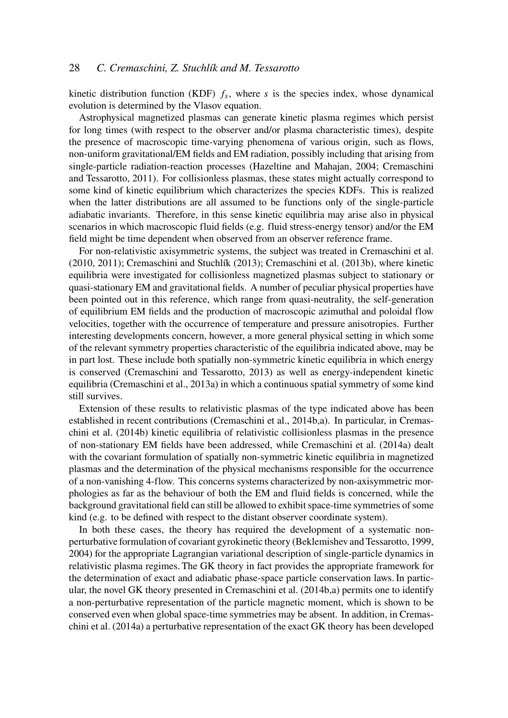kinetic distribution function (KDF)  $f_s$ , where  $s$  is the species index, whose dynamical evolution is determined by the Vlasov equation.

Astrophysical magnetized plasmas can generate kinetic plasma regimes which persist for long times (with respect to the observer and/or plasma characteristic times), despite the presence of macroscopic time-varying phenomena of various origin, such as flows, non-uniform gravitational/EM fields and EM radiation, possibly including that arising from single-particle radiation-reaction processes (Hazeltine and Mahajan, 2004; Cremaschini and Tessarotto, 2011). For collisionless plasmas, these states might actually correspond to some kind of kinetic equilibrium which characterizes the species KDFs. This is realized when the latter distributions are all assumed to be functions only of the single-particle adiabatic invariants. Therefore, in this sense kinetic equilibria may arise also in physical scenarios in which macroscopic fluid fields (e.g. fluid stress-energy tensor) and/or the EM field might be time dependent when observed from an observer reference frame.

For non-relativistic axisymmetric systems, the subject was treated in Cremaschini et al. (2010, 2011); Cremaschini and Stuchlík (2013); Cremaschini et al. (2013b), where kinetic equilibria were investigated for collisionless magnetized plasmas subject to stationary or quasi-stationary EM and gravitational fields. A number of peculiar physical properties have been pointed out in this reference, which range from quasi-neutrality, the self-generation of equilibrium EM fields and the production of macroscopic azimuthal and poloidal flow velocities, together with the occurrence of temperature and pressure anisotropies. Further interesting developments concern, however, a more general physical setting in which some of the relevant symmetry properties characteristic of the equilibria indicated above, may be in part lost. These include both spatially non-symmetric kinetic equilibria in which energy is conserved (Cremaschini and Tessarotto, 2013) as well as energy-independent kinetic equilibria (Cremaschini et al., 2013a) in which a continuous spatial symmetry of some kind still survives.

Extension of these results to relativistic plasmas of the type indicated above has been established in recent contributions (Cremaschini et al., 2014b,a). In particular, in Cremaschini et al. (2014b) kinetic equilibria of relativistic collisionless plasmas in the presence of non-stationary EM fields have been addressed, while Cremaschini et al. (2014a) dealt with the covariant formulation of spatially non-symmetric kinetic equilibria in magnetized plasmas and the determination of the physical mechanisms responsible for the occurrence of a non-vanishing 4-flow. This concerns systems characterized by non-axisymmetric morphologies as far as the behaviour of both the EM and fluid fields is concerned, while the background gravitational field can still be allowed to exhibit space-time symmetries of some kind (e.g. to be defined with respect to the distant observer coordinate system).

In both these cases, the theory has required the development of a systematic nonperturbative formulation of covariant gyrokinetic theory (Beklemishev and Tessarotto, 1999, 2004) for the appropriate Lagrangian variational description of single-particle dynamics in relativistic plasma regimes. The GK theory in fact provides the appropriate framework for the determination of exact and adiabatic phase-space particle conservation laws. In particular, the novel GK theory presented in Cremaschini et al. (2014b,a) permits one to identify a non-perturbative representation of the particle magnetic moment, which is shown to be conserved even when global space-time symmetries may be absent. In addition, in Cremaschini et al. (2014a) a perturbative representation of the exact GK theory has been developed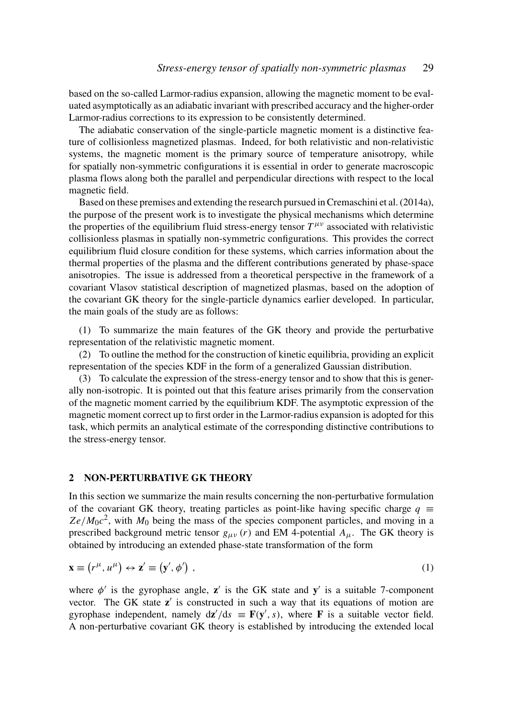based on the so-called Larmor-radius expansion, allowing the magnetic moment to be evaluated asymptotically as an adiabatic invariant with prescribed accuracy and the higher-order Larmor-radius corrections to its expression to be consistently determined.

The adiabatic conservation of the single-particle magnetic moment is a distinctive feature of collisionless magnetized plasmas. Indeed, for both relativistic and non-relativistic systems, the magnetic moment is the primary source of temperature anisotropy, while for spatially non-symmetric configurations it is essential in order to generate macroscopic plasma flows along both the parallel and perpendicular directions with respect to the local magnetic field.

Based on these premises and extending the research pursued in Cremaschini et al. (2014a), the purpose of the present work is to investigate the physical mechanisms which determine the properties of the equilibrium fluid stress-energy tensor  $T^{\mu\nu}$  associated with relativistic collisionless plasmas in spatially non-symmetric configurations. This provides the correct equilibrium fluid closure condition for these systems, which carries information about the thermal properties of the plasma and the different contributions generated by phase-space anisotropies. The issue is addressed from a theoretical perspective in the framework of a covariant Vlasov statistical description of magnetized plasmas, based on the adoption of the covariant GK theory for the single-particle dynamics earlier developed. In particular, the main goals of the study are as follows:

(1) To summarize the main features of the GK theory and provide the perturbative representation of the relativistic magnetic moment.

(2) To outline the method for the construction of kinetic equilibria, providing an explicit representation of the species KDF in the form of a generalized Gaussian distribution.

(3) To calculate the expression of the stress-energy tensor and to show that this is generally non-isotropic. It is pointed out that this feature arises primarily from the conservation of the magnetic moment carried by the equilibrium KDF. The asymptotic expression of the magnetic moment correct up to first order in the Larmor-radius expansion is adopted for this task, which permits an analytical estimate of the corresponding distinctive contributions to the stress-energy tensor.

# 2 NON-PERTURBATIVE GK THEORY

In this section we summarize the main results concerning the non-perturbative formulation of the covariant GK theory, treating particles as point-like having specific charge  $q \equiv$  $Ze/M_0c^2$ , with  $M_0$  being the mass of the species component particles, and moving in a prescribed background metric tensor  $g_{\mu\nu}$  (*r*) and EM 4-potential  $A_{\mu}$ . The GK theory is obtained by introducing an extended phase-state transformation of the form

$$
\mathbf{x} \equiv (r^{\mu}, u^{\mu}) \leftrightarrow \mathbf{z}' \equiv (\mathbf{y}', \phi') \tag{1}
$$

where  $\phi'$  is the gyrophase angle, z' is the GK state and y' is a suitable 7-component vector. The GK state  $z'$  is constructed in such a way that its equations of motion are gyrophase independent, namely  $d\mathbf{z}'/ds \equiv \mathbf{F}(\mathbf{y}', s)$ , where **F** is a suitable vector field. A non-perturbative covariant GK theory is established by introducing the extended local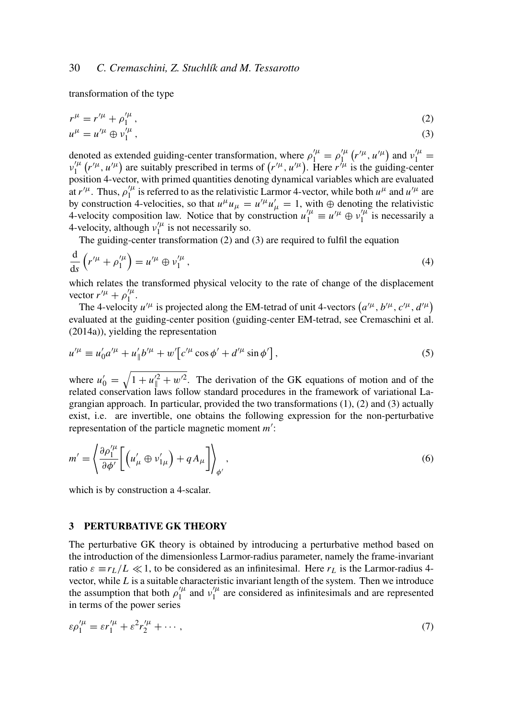transformation of the type

$$
r^{\mu} = r^{\prime \mu} + \rho_1^{\prime \mu}, \tag{2}
$$
  

$$
u^{\mu} = u^{\prime \mu} \oplus v_1^{\prime \mu}, \tag{3}
$$

denoted as extended guiding-center transformation, where  $\rho_1^{\prime \mu} = \rho_1^{\prime \mu}$  $v_1^{'\mu}$  ( $r'^{\mu}$ ,  $u'^{\mu}$ ) and  $v_1^{'\mu}$  =  $v_1^{\prime \mu}$  $T_1^{\prime\mu}$  ( $r^{\prime\mu}$ ,  $u^{\prime\mu}$ ) are suitably prescribed in terms of ( $r^{\prime\mu}$ ,  $u^{\prime\mu}$ ). Here  $r^{\prime\mu}$  is the guiding-center position 4-vector, with primed quantities denoting dynamical variables which are evaluated at  $r'^\mu$ . Thus,  $\rho'^\mu_1$  $\frac{1}{1}$  is referred to as the relativistic Larmor 4-vector, while both  $u^{\mu}$  and  $u^{\prime \mu}$  are by construction 4-velocities, so that  $u^{\mu}u_{\mu} = u'^{\mu}u'_{\mu} = 1$ , with  $\oplus$  denoting the relativistic 4-velocity composition law. Notice that by construction  $u_1^{\prime \mu} \equiv u^{\prime \mu} \oplus v_1^{\prime \mu}$  $i_1^{\prime \mu}$  is necessarily a 4-velocity, although  $v_1^{\prime \mu}$  $\int_1^\mu$  is not necessarily so.

The guiding-center transformation (2) and (3) are required to fulfil the equation

$$
\frac{\mathrm{d}}{\mathrm{d}s}\left(r^{\prime\mu}+\rho_1^{\prime\mu}\right) = u^{\prime\mu}\oplus v_1^{\prime\mu},\tag{4}
$$

which relates the transformed physical velocity to the rate of change of the displacement vector  $r'^{\mu} + \rho'^{\mu}_1$  $\int_{1}^{\prime \mu}$ .

The 4-velocity  $u'^{\mu}$  is projected along the EM-tetrad of unit 4-vectors  $(a'^{\mu}, b'^{\mu}, c'^{\mu}, d'^{\mu})$ evaluated at the guiding-center position (guiding-center EM-tetrad, see Cremaschini et al. (2014a)), yielding the representation

$$
u'^{\mu} \equiv u'_0 a'^{\mu} + u'_{\parallel} b'^{\mu} + w' \big[ c'^{\mu} \cos \phi' + d'^{\mu} \sin \phi' \big], \tag{5}
$$

where  $u'_0 = \sqrt{1 + u'^2 + w'^2}$ . The derivation of the GK equations of motion and of the related conservation laws follow standard procedures in the framework of variational Lagrangian approach. In particular, provided the two transformations  $(1)$ ,  $(2)$  and  $(3)$  actually exist, i.e. are invertible, one obtains the following expression for the non-perturbative representation of the particle magnetic moment *m'*:

$$
m' = \left\langle \frac{\partial \rho_1^{\prime \mu}}{\partial \phi'} \left[ \left( u'_\mu \oplus v'_{1\mu} \right) + q A_\mu \right] \right\rangle_{\phi'}, \tag{6}
$$

which is by construction a 4-scalar.

#### 3 PERTURBATIVE GK THEORY

The perturbative GK theory is obtained by introducing a perturbative method based on the introduction of the dimensionless Larmor-radius parameter, namely the frame-invariant ratio  $\varepsilon \equiv r_L/L \ll 1$ , to be considered as an infinitesimal. Here  $r_L$  is the Larmor-radius 4vector, while *L* is a suitable characteristic invariant length of the system. Then we introduce the assumption that both  $\rho_1^{\prime \mu}$  $v_1^{\prime \mu}$  and  $v_1^{\prime \mu}$  $\frac{7\mu}{1}$  are considered as infinitesimals and are represented in terms of the power series

$$
\varepsilon \rho_1^{'\mu} = \varepsilon r_1^{'\mu} + \varepsilon^2 r_2^{'\mu} + \cdots, \tag{7}
$$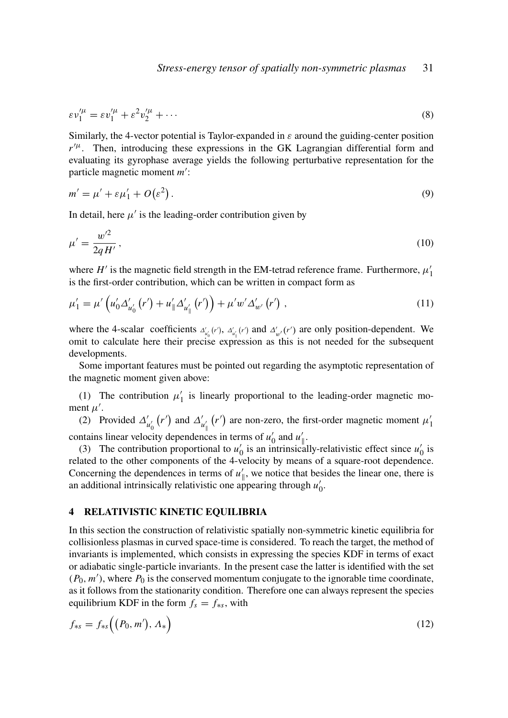$$
\varepsilon \nu_1^{\prime \mu} = \varepsilon \nu_1^{\prime \mu} + \varepsilon^2 \nu_2^{\prime \mu} + \cdots \tag{8}
$$

Similarly, the 4-vector potential is Taylor-expanded in  $\varepsilon$  around the guiding-center position  $r^{\prime\mu}$ . Then, introducing these expressions in the GK Lagrangian differential form and evaluating its gyrophase average yields the following perturbative representation for the particle magnetic moment *m'*:

$$
m' = \mu' + \varepsilon \mu'_1 + O(\varepsilon^2). \tag{9}
$$

In detail, here  $\mu'$  is the leading-order contribution given by

$$
\mu' = \frac{w'^2}{2qH'},\tag{10}
$$

where  $H'$  is the magnetic field strength in the EM-tetrad reference frame. Furthermore,  $\mu'_1$ is the first-order contribution, which can be written in compact form as

$$
\mu'_{1} = \mu' \left( u'_{0} \Delta'_{u'_{0}} (r') + u'_{\parallel} \Delta'_{u'_{\parallel}} (r') \right) + \mu' w' \Delta'_{w'} (r') , \qquad (11)
$$

where the 4-scalar coefficients  $\Delta'_{u_0}(r')$ ,  $\Delta'_{u_1}(r')$  and  $\Delta'_{w'}(r')$  are only position-dependent. We omit to calculate here their precise expression as this is not needed for the subsequent developments.

Some important features must be pointed out regarding the asymptotic representation of the magnetic moment given above:

(1) The contribution  $\mu'_1$  is linearly proportional to the leading-order magnetic moment  $\mu'$ .

(2) Provided  $\Delta'_{u'_0}(r')$  and  $\Delta'_{u'_\parallel}(r')$  are non-zero, the first-order magnetic moment  $\mu'_1$ contains linear velocity dependences in terms of  $u'_0$  and  $u'_\parallel$ .

(3) The contribution proportional to  $u'_0$  is an intrinsically-relativistic effect since  $u'_0$  is related to the other components of the 4-velocity by means of a square-root dependence. Concerning the dependences in terms of  $u'_{\parallel}$ , we notice that besides the linear one, there is an additional intrinsically relativistic one appearing through  $u'_0$ .

### 4 RELATIVISTIC KINETIC EQUILIBRIA

In this section the construction of relativistic spatially non-symmetric kinetic equilibria for collisionless plasmas in curved space-time is considered. To reach the target, the method of invariants is implemented, which consists in expressing the species KDF in terms of exact or adiabatic single-particle invariants. In the present case the latter is identified with the set  $(P_0, m')$ , where  $P_0$  is the conserved momentum conjugate to the ignorable time coordinate, as it follows from the stationarity condition. Therefore one can always represent the species equilibrium KDF in the form  $f_s = f_{*s}$ , with

$$
f_{\ast s} = f_{\ast s} \Big( \big( P_0, m' \big), \Lambda_{\ast} \Big) \tag{12}
$$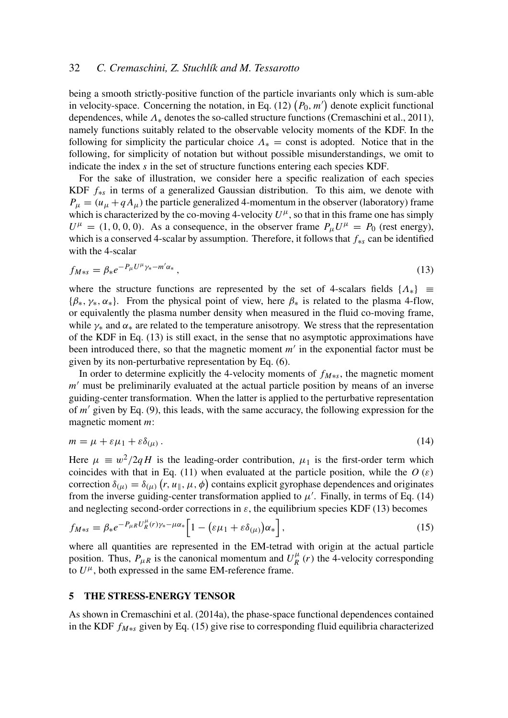# 32 *C. Cremaschini, Z. Stuchlík and M. Tessarotto*

being a smooth strictly-positive function of the particle invariants only which is sum-able in velocity-space. Concerning the notation, in Eq.  $(12)$   $(P_0, m')$  denote explicit functional dependences, while  $\Lambda_*$  denotes the so-called structure functions (Cremaschini et al., 2011), namely functions suitably related to the observable velocity moments of the KDF. In the following for simplicity the particular choice  $\Lambda_* =$  const is adopted. Notice that in the following, for simplicity of notation but without possible misunderstandings, we omit to indicate the index *s* in the set of structure functions entering each species KDF.

For the sake of illustration, we consider here a specific realization of each species KDF *f*∗*<sup>s</sup>* in terms of a generalized Gaussian distribution. To this aim, we denote with  $P_{\mu} = (u_{\mu} + q A_{\mu})$  the particle generalized 4-momentum in the observer (laboratory) frame which is characterized by the co-moving 4-velocity  $U^{\mu}$ , so that in this frame one has simply  $U^{\mu} = (1, 0, 0, 0)$ . As a consequence, in the observer frame  $P_{\mu}U^{\mu} = P_0$  (rest energy), which is a conserved 4-scalar by assumption. Therefore, it follows that *f*∗*<sup>s</sup>* can be identified with the 4-scalar

$$
f_{M*s} = \beta_* e^{-P_\mu U^\mu \gamma_* - m'\alpha_*} \,,\tag{13}
$$

where the structure functions are represented by the set of 4-scalars fields  $\{\Lambda_*\}$   $\equiv$  ${\{\beta_{*,}, \gamma_{*,}, \alpha_{*}\}}$ . From the physical point of view, here  $\beta_{*}$  is related to the plasma 4-flow, or equivalently the plasma number density when measured in the fluid co-moving frame, while  $\gamma_*$  and  $\alpha_*$  are related to the temperature anisotropy. We stress that the representation of the KDF in Eq. (13) is still exact, in the sense that no asymptotic approximations have been introduced there, so that the magnetic moment  $m'$  in the exponential factor must be given by its non-perturbative representation by Eq. (6).

In order to determine explicitly the 4-velocity moments of *fM*∗*<sup>s</sup>* , the magnetic moment *m*<sup>'</sup> must be preliminarily evaluated at the actual particle position by means of an inverse guiding-center transformation. When the latter is applied to the perturbative representation of  $m'$  given by Eq. (9), this leads, with the same accuracy, the following expression for the magnetic moment *m*:

$$
m = \mu + \varepsilon \mu_1 + \varepsilon \delta_{(\mu)} \,. \tag{14}
$$

Here  $\mu \equiv w^2/2qH$  is the leading-order contribution,  $\mu_1$  is the first-order term which coincides with that in Eq. (11) when evaluated at the particle position, while the  $O(\varepsilon)$ correction  $\delta_{(\mu)} = \delta_{(\mu)}(r, u_{\parallel}, \mu, \phi)$  contains explicit gyrophase dependences and originates from the inverse guiding-center transformation applied to  $\mu'$ . Finally, in terms of Eq. (14) and neglecting second-order corrections in  $\varepsilon$ , the equilibrium species KDF (13) becomes

$$
f_{M*s} = \beta_* e^{-P_{\mu R} U_R^{\mu}(r) \gamma_* - \mu \alpha_*} \left[ 1 - \left( \varepsilon \mu_1 + \varepsilon \delta_{(\mu)} \right) \alpha_* \right],
$$
\n(15)

where all quantities are represented in the EM-tetrad with origin at the actual particle position. Thus,  $P_{\mu R}$  is the canonical momentum and  $U_R^{\mu}$  $R(R$ <sup> $\mu$ </sup> (*r*) the 4-velocity corresponding to  $U^{\mu}$ , both expressed in the same EM-reference frame.

#### 5 THE STRESS-ENERGY TENSOR

As shown in Cremaschini et al. (2014a), the phase-space functional dependences contained in the KDF *fM*∗*<sup>s</sup>* given by Eq. (15) give rise to corresponding fluid equilibria characterized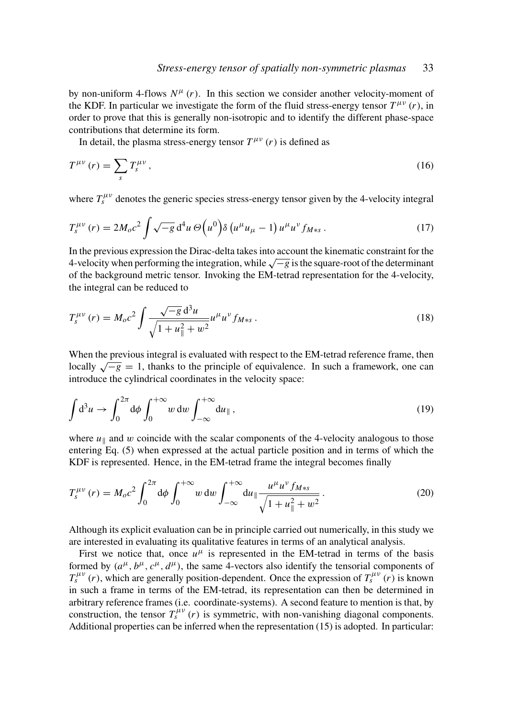by non-uniform 4-flows  $N^{\mu}$  (*r*). In this section we consider another velocity-moment of the KDF. In particular we investigate the form of the fluid stress-energy tensor  $T^{\mu\nu}(r)$ , in order to prove that this is generally non-isotropic and to identify the different phase-space contributions that determine its form.

In detail, the plasma stress-energy tensor  $T^{\mu\nu}(r)$  is defined as

$$
T^{\mu\nu}(r) = \sum_{s} T^{\mu\nu}_{s} \,,\tag{16}
$$

where  $T_s^{\mu\nu}$  denotes the generic species stress-energy tensor given by the 4-velocity integral

$$
T_s^{\mu\nu}(r) = 2M_o c^2 \int \sqrt{-g} \, d^4 u \, \Theta\!\left(u^0\right) \delta\left(u^\mu u_\mu - 1\right) u^\mu u^\nu f_{M*s} \,. \tag{17}
$$

In the previous expression the Dirac-delta takes into account the kinematic constraint for the 4-velocity when performing the integration, while <sup>√</sup> −*g* is the square-root of the determinant of the background metric tensor. Invoking the EM-tetrad representation for the 4-velocity, the integral can be reduced to

$$
T_s^{\mu\nu}(r) = M_o c^2 \int \frac{\sqrt{-g} d^3 u}{\sqrt{1 + u_\parallel^2 + w^2}} u^\mu u^\nu f_{M*s} \,. \tag{18}
$$

When the previous integral is evaluated with respect to the EM-tetrad reference frame, then when the previous integral is evaluated with respect to the EN-tetrad reference frame, then<br>locally  $\sqrt{-g} = 1$ , thanks to the principle of equivalence. In such a framework, one can introduce the cylindrical coordinates in the velocity space:

$$
\int d^3u \to \int_0^{2\pi} d\phi \int_0^{+\infty} w \, dw \int_{-\infty}^{+\infty} du_{\parallel} , \qquad (19)
$$

where  $u_{\parallel}$  and w coincide with the scalar components of the 4-velocity analogous to those entering Eq. (5) when expressed at the actual particle position and in terms of which the KDF is represented. Hence, in the EM-tetrad frame the integral becomes finally

$$
T_s^{\mu\nu}(r) = M_o c^2 \int_0^{2\pi} d\phi \int_0^{+\infty} w \, dw \int_{-\infty}^{+\infty} du_{\parallel} \frac{u^{\mu} u^{\nu} f_{M*s}}{\sqrt{1 + u_{\parallel}^2 + w^2}}.
$$
 (20)

Although its explicit evaluation can be in principle carried out numerically, in this study we are interested in evaluating its qualitative features in terms of an analytical analysis.

First we notice that, once  $u^{\mu}$  is represented in the EM-tetrad in terms of the basis formed by  $(a^{\mu}, b^{\mu}, c^{\mu}, d^{\mu})$ , the same 4-vectors also identify the tensorial components of  $T_s^{\mu\nu}(r)$ , which are generally position-dependent. Once the expression of  $T_s^{\mu\nu}(r)$  is known in such a frame in terms of the EM-tetrad, its representation can then be determined in arbitrary reference frames (i.e. coordinate-systems). A second feature to mention is that, by construction, the tensor  $T_s^{\mu\nu}(r)$  is symmetric, with non-vanishing diagonal components. Additional properties can be inferred when the representation (15) is adopted. In particular: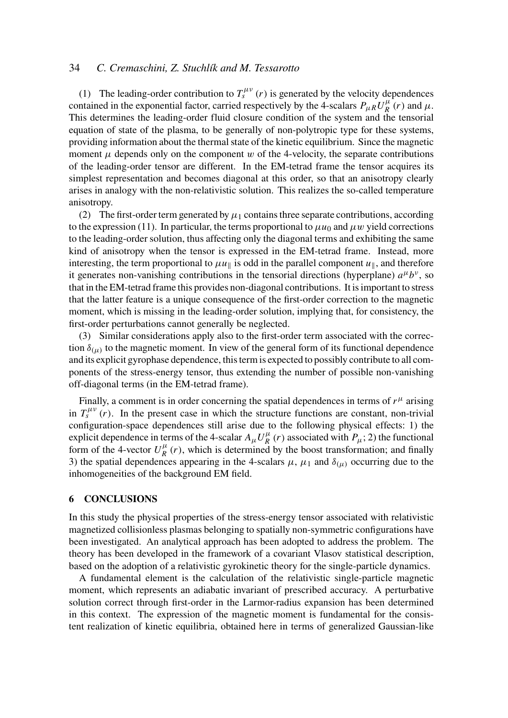# 34 *C. Cremaschini, Z. Stuchlík and M. Tessarotto*

(1) The leading-order contribution to  $T_s^{\mu\nu}(r)$  is generated by the velocity dependences contained in the exponential factor, carried respectively by the 4-scalars  $P_{\mu R} U_R^{\mu}$  $\frac{\mu}{R}(r)$  and  $\mu$ . This determines the leading-order fluid closure condition of the system and the tensorial equation of state of the plasma, to be generally of non-polytropic type for these systems, providing information about the thermal state of the kinetic equilibrium. Since the magnetic moment  $\mu$  depends only on the component w of the 4-velocity, the separate contributions of the leading-order tensor are different. In the EM-tetrad frame the tensor acquires its simplest representation and becomes diagonal at this order, so that an anisotropy clearly arises in analogy with the non-relativistic solution. This realizes the so-called temperature anisotropy.

(2) The first-order term generated by  $\mu_1$  contains three separate contributions, according to the expression (11). In particular, the terms proportional to  $\mu u_0$  and  $\mu w$  yield corrections to the leading-order solution, thus affecting only the diagonal terms and exhibiting the same kind of anisotropy when the tensor is expressed in the EM-tetrad frame. Instead, more interesting, the term proportional to  $\mu u_{\parallel}$  is odd in the parallel component  $u_{\parallel}$ , and therefore it generates non-vanishing contributions in the tensorial directions (hyperplane)  $a^{\mu}b^{\nu}$ , so that in the EM-tetrad frame this provides non-diagonal contributions. It is important to stress that the latter feature is a unique consequence of the first-order correction to the magnetic moment, which is missing in the leading-order solution, implying that, for consistency, the first-order perturbations cannot generally be neglected.

(3) Similar considerations apply also to the first-order term associated with the correction  $\delta_{(\mu)}$  to the magnetic moment. In view of the general form of its functional dependence and its explicit gyrophase dependence, this term is expected to possibly contribute to all components of the stress-energy tensor, thus extending the number of possible non-vanishing off-diagonal terms (in the EM-tetrad frame).

Finally, a comment is in order concerning the spatial dependences in terms of  $r<sup>\mu</sup>$  arising in  $T_s^{\mu\nu}$  (*r*). In the present case in which the structure functions are constant, non-trivial configuration-space dependences still arise due to the following physical effects: 1) the explicit dependence in terms of the 4-scalar  $A_\mu U_R^\mu$  $R(R$ <sup> $\mu$ </sup> (*r*) associated with  $P_{\mu}$ ; 2) the functional form of the 4-vector  $U_R^{\mu}$  $R(\mathbf{r})$ , which is determined by the boost transformation; and finally 3) the spatial dependences appearing in the 4-scalars  $\mu$ ,  $\mu_1$  and  $\delta_{(\mu)}$  occurring due to the inhomogeneities of the background EM field.

### 6 CONCLUSIONS

In this study the physical properties of the stress-energy tensor associated with relativistic magnetized collisionless plasmas belonging to spatially non-symmetric configurations have been investigated. An analytical approach has been adopted to address the problem. The theory has been developed in the framework of a covariant Vlasov statistical description, based on the adoption of a relativistic gyrokinetic theory for the single-particle dynamics.

A fundamental element is the calculation of the relativistic single-particle magnetic moment, which represents an adiabatic invariant of prescribed accuracy. A perturbative solution correct through first-order in the Larmor-radius expansion has been determined in this context. The expression of the magnetic moment is fundamental for the consistent realization of kinetic equilibria, obtained here in terms of generalized Gaussian-like